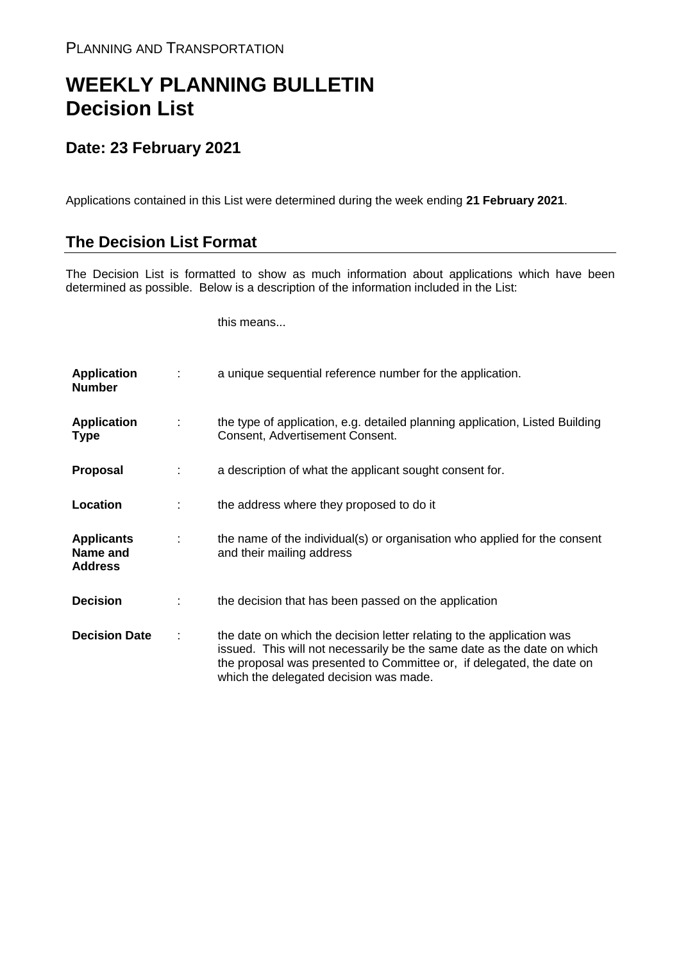## **WEEKLY PLANNING BULLETIN Decision List**

## **Date: 23 February 2021**

Applications contained in this List were determined during the week ending **21 February 2021**.

## **The Decision List Format**

The Decision List is formatted to show as much information about applications which have been determined as possible. Below is a description of the information included in the List:

this means...

| <b>Application</b><br><b>Number</b>             |   | a unique sequential reference number for the application.                                                                                                                                                                                                           |
|-------------------------------------------------|---|---------------------------------------------------------------------------------------------------------------------------------------------------------------------------------------------------------------------------------------------------------------------|
| <b>Application</b><br><b>Type</b>               | ÷ | the type of application, e.g. detailed planning application, Listed Building<br>Consent, Advertisement Consent.                                                                                                                                                     |
| Proposal                                        |   | a description of what the applicant sought consent for.                                                                                                                                                                                                             |
| Location                                        |   | the address where they proposed to do it                                                                                                                                                                                                                            |
| <b>Applicants</b><br>Name and<br><b>Address</b> | ÷ | the name of the individual(s) or organisation who applied for the consent<br>and their mailing address                                                                                                                                                              |
| <b>Decision</b>                                 |   | the decision that has been passed on the application                                                                                                                                                                                                                |
| <b>Decision Date</b>                            | ÷ | the date on which the decision letter relating to the application was<br>issued. This will not necessarily be the same date as the date on which<br>the proposal was presented to Committee or, if delegated, the date on<br>which the delegated decision was made. |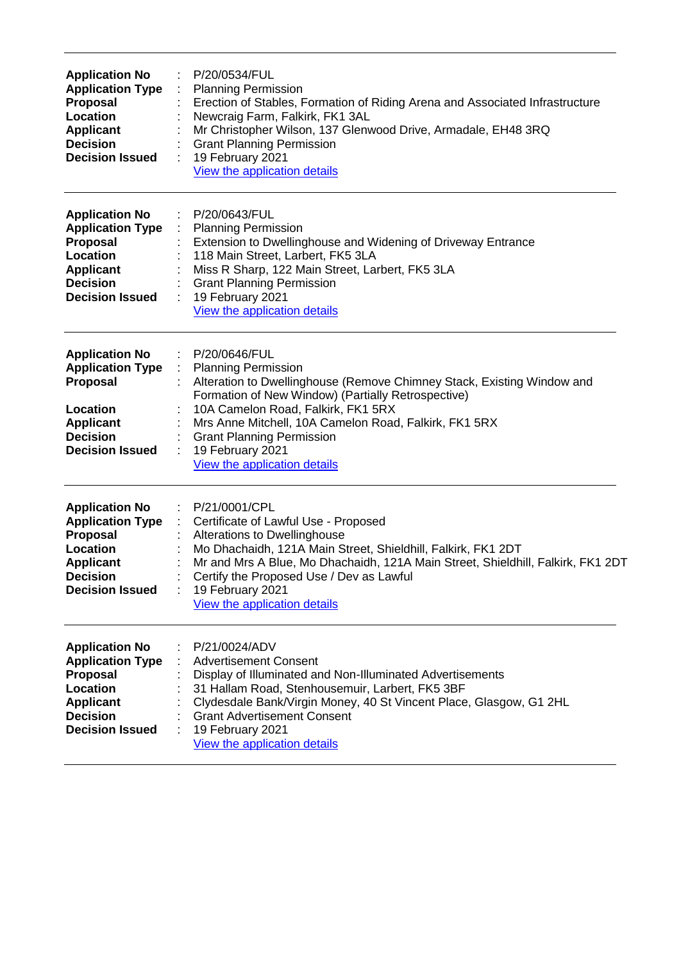| <b>Application No</b><br><b>Application Type</b><br><b>Proposal</b><br>Location<br><b>Applicant</b><br><b>Decision</b><br><b>Decision Issued</b> | P/20/0534/FUL<br>÷<br><b>Planning Permission</b><br>Erection of Stables, Formation of Riding Arena and Associated Infrastructure<br>Newcraig Farm, Falkirk, FK1 3AL<br>Mr Christopher Wilson, 137 Glenwood Drive, Armadale, EH48 3RQ<br><b>Grant Planning Permission</b><br>19 February 2021<br>÷<br>View the application details                                       |
|--------------------------------------------------------------------------------------------------------------------------------------------------|-------------------------------------------------------------------------------------------------------------------------------------------------------------------------------------------------------------------------------------------------------------------------------------------------------------------------------------------------------------------------|
| <b>Application No</b><br><b>Application Type</b><br><b>Proposal</b><br>Location<br><b>Applicant</b><br><b>Decision</b><br><b>Decision Issued</b> | P/20/0643/FUL<br><b>Planning Permission</b><br>Extension to Dwellinghouse and Widening of Driveway Entrance<br>118 Main Street, Larbert, FK5 3LA<br>Miss R Sharp, 122 Main Street, Larbert, FK5 3LA<br><b>Grant Planning Permission</b><br>19 February 2021<br>View the application details                                                                             |
| <b>Application No</b><br><b>Application Type</b><br><b>Proposal</b><br>Location<br><b>Applicant</b><br><b>Decision</b><br><b>Decision Issued</b> | P/20/0646/FUL<br><b>Planning Permission</b><br>Alteration to Dwellinghouse (Remove Chimney Stack, Existing Window and<br>Formation of New Window) (Partially Retrospective)<br>10A Camelon Road, Falkirk, FK1 5RX<br>Mrs Anne Mitchell, 10A Camelon Road, Falkirk, FK1 5RX<br><b>Grant Planning Permission</b><br>19 February 2021<br>÷<br>View the application details |
| <b>Application No</b><br><b>Application Type</b><br><b>Proposal</b><br>Location<br><b>Applicant</b><br><b>Decision</b><br><b>Decision Issued</b> | $\mathbb{Z}^n$<br>P/21/0001/CPL<br>Certificate of Lawful Use - Proposed<br>Alterations to Dwellinghouse<br>Mo Dhachaidh, 121A Main Street, Shieldhill, Falkirk, FK1 2DT<br>Mr and Mrs A Blue, Mo Dhachaidh, 121A Main Street, Shieldhill, Falkirk, FK1 2DT<br>Certify the Proposed Use / Dev as Lawful<br>19 February 2021<br>View the application details              |
| <b>Application No</b><br><b>Application Type</b><br>Proposal<br>Location<br><b>Applicant</b><br><b>Decision</b><br><b>Decision Issued</b>        | P/21/0024/ADV<br><b>Advertisement Consent</b><br>Display of Illuminated and Non-Illuminated Advertisements<br>31 Hallam Road, Stenhousemuir, Larbert, FK5 3BF<br>Clydesdale Bank/Virgin Money, 40 St Vincent Place, Glasgow, G1 2HL<br><b>Grant Advertisement Consent</b><br>19 February 2021<br>View the application details                                           |